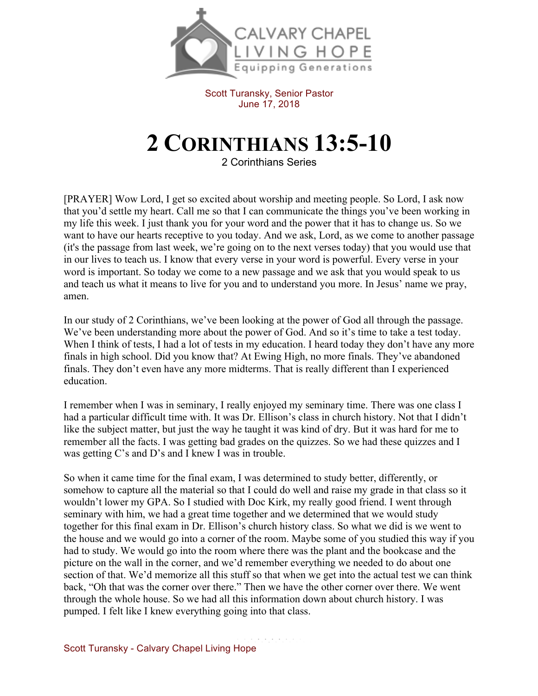

Scott Turansky, Senior Pastor June 17, 2018

## **2 CORINTHIANS 13:5-10**

2 Corinthians Series

[PRAYER] Wow Lord, I get so excited about worship and meeting people. So Lord, I ask now that you'd settle my heart. Call me so that I can communicate the things you've been working in my life this week. I just thank you for your word and the power that it has to change us. So we want to have our hearts receptive to you today. And we ask, Lord, as we come to another passage (it's the passage from last week, we're going on to the next verses today) that you would use that in our lives to teach us. I know that every verse in your word is powerful. Every verse in your word is important. So today we come to a new passage and we ask that you would speak to us and teach us what it means to live for you and to understand you more. In Jesus' name we pray, amen.

In our study of 2 Corinthians, we've been looking at the power of God all through the passage. We've been understanding more about the power of God. And so it's time to take a test today. When I think of tests, I had a lot of tests in my education. I heard today they don't have any more finals in high school. Did you know that? At Ewing High, no more finals. They've abandoned finals. They don't even have any more midterms. That is really different than I experienced education.

I remember when I was in seminary, I really enjoyed my seminary time. There was one class I had a particular difficult time with. It was Dr. Ellison's class in church history. Not that I didn't like the subject matter, but just the way he taught it was kind of dry. But it was hard for me to remember all the facts. I was getting bad grades on the quizzes. So we had these quizzes and I was getting C's and D's and I knew I was in trouble.

So when it came time for the final exam, I was determined to study better, differently, or somehow to capture all the material so that I could do well and raise my grade in that class so it wouldn't lower my GPA. So I studied with Doc Kirk, my really good friend. I went through seminary with him, we had a great time together and we determined that we would study together for this final exam in Dr. Ellison's church history class. So what we did is we went to the house and we would go into a corner of the room. Maybe some of you studied this way if you had to study. We would go into the room where there was the plant and the bookcase and the picture on the wall in the corner, and we'd remember everything we needed to do about one section of that. We'd memorize all this stuff so that when we get into the actual test we can think back, "Oh that was the corner over there." Then we have the other corner over there. We went through the whole house. So we had all this information down about church history. I was pumped. I felt like I knew everything going into that class.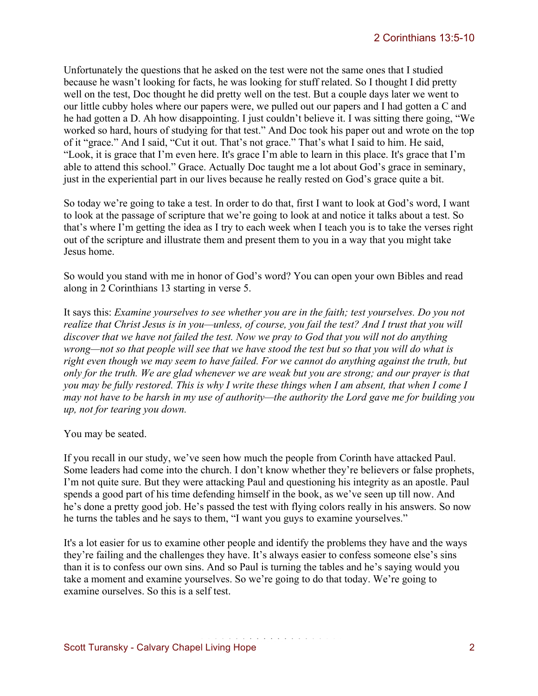Unfortunately the questions that he asked on the test were not the same ones that I studied because he wasn't looking for facts, he was looking for stuff related. So I thought I did pretty well on the test, Doc thought he did pretty well on the test. But a couple days later we went to our little cubby holes where our papers were, we pulled out our papers and I had gotten a C and he had gotten a D. Ah how disappointing. I just couldn't believe it. I was sitting there going, "We worked so hard, hours of studying for that test." And Doc took his paper out and wrote on the top of it "grace." And I said, "Cut it out. That's not grace." That's what I said to him. He said, "Look, it is grace that I'm even here. It's grace I'm able to learn in this place. It's grace that I'm able to attend this school." Grace. Actually Doc taught me a lot about God's grace in seminary, just in the experiential part in our lives because he really rested on God's grace quite a bit.

So today we're going to take a test. In order to do that, first I want to look at God's word, I want to look at the passage of scripture that we're going to look at and notice it talks about a test. So that's where I'm getting the idea as I try to each week when I teach you is to take the verses right out of the scripture and illustrate them and present them to you in a way that you might take Jesus home.

So would you stand with me in honor of God's word? You can open your own Bibles and read along in 2 Corinthians 13 starting in verse 5.

It says this: *Examine yourselves to see whether you are in the faith; test yourselves. Do you not realize that Christ Jesus is in you—unless, of course, you fail the test? And I trust that you will discover that we have not failed the test. Now we pray to God that you will not do anything wrong—not so that people will see that we have stood the test but so that you will do what is right even though we may seem to have failed. For we cannot do anything against the truth, but only for the truth. We are glad whenever we are weak but you are strong; and our prayer is that you may be fully restored. This is why I write these things when I am absent, that when I come I may not have to be harsh in my use of authority—the authority the Lord gave me for building you up, not for tearing you down.*

You may be seated.

If you recall in our study, we've seen how much the people from Corinth have attacked Paul. Some leaders had come into the church. I don't know whether they're believers or false prophets, I'm not quite sure. But they were attacking Paul and questioning his integrity as an apostle. Paul spends a good part of his time defending himself in the book, as we've seen up till now. And he's done a pretty good job. He's passed the test with flying colors really in his answers. So now he turns the tables and he says to them, "I want you guys to examine yourselves."

It's a lot easier for us to examine other people and identify the problems they have and the ways they're failing and the challenges they have. It's always easier to confess someone else's sins than it is to confess our own sins. And so Paul is turning the tables and he's saying would you take a moment and examine yourselves. So we're going to do that today. We're going to examine ourselves. So this is a self test.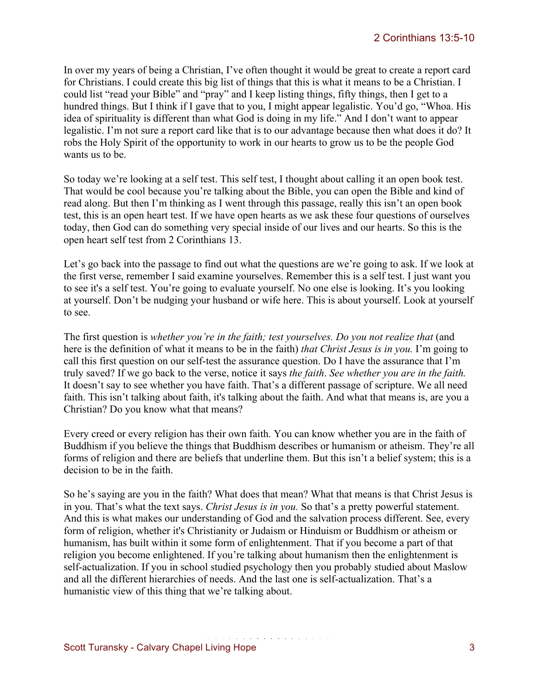In over my years of being a Christian, I've often thought it would be great to create a report card for Christians. I could create this big list of things that this is what it means to be a Christian. I could list "read your Bible" and "pray" and I keep listing things, fifty things, then I get to a hundred things. But I think if I gave that to you, I might appear legalistic. You'd go, "Whoa. His idea of spirituality is different than what God is doing in my life." And I don't want to appear legalistic. I'm not sure a report card like that is to our advantage because then what does it do? It robs the Holy Spirit of the opportunity to work in our hearts to grow us to be the people God wants us to be.

So today we're looking at a self test. This self test, I thought about calling it an open book test. That would be cool because you're talking about the Bible, you can open the Bible and kind of read along. But then I'm thinking as I went through this passage, really this isn't an open book test, this is an open heart test. If we have open hearts as we ask these four questions of ourselves today, then God can do something very special inside of our lives and our hearts. So this is the open heart self test from 2 Corinthians 13.

Let's go back into the passage to find out what the questions are we're going to ask. If we look at the first verse, remember I said examine yourselves. Remember this is a self test. I just want you to see it's a self test. You're going to evaluate yourself. No one else is looking. It's you looking at yourself. Don't be nudging your husband or wife here. This is about yourself. Look at yourself to see.

The first question is *whether you're in the faith; test yourselves. Do you not realize that* (and here is the definition of what it means to be in the faith) *that Christ Jesus is in you.* I'm going to call this first question on our self-test the assurance question. Do I have the assurance that I'm truly saved? If we go back to the verse, notice it says *the faith*. *See whether you are in the faith.*  It doesn't say to see whether you have faith. That's a different passage of scripture. We all need faith. This isn't talking about faith, it's talking about the faith. And what that means is, are you a Christian? Do you know what that means?

Every creed or every religion has their own faith. You can know whether you are in the faith of Buddhism if you believe the things that Buddhism describes or humanism or atheism. They're all forms of religion and there are beliefs that underline them. But this isn't a belief system; this is a decision to be in the faith.

So he's saying are you in the faith? What does that mean? What that means is that Christ Jesus is in you. That's what the text says. *Christ Jesus is in you.* So that's a pretty powerful statement. And this is what makes our understanding of God and the salvation process different. See, every form of religion, whether it's Christianity or Judaism or Hinduism or Buddhism or atheism or humanism, has built within it some form of enlightenment. That if you become a part of that religion you become enlightened. If you're talking about humanism then the enlightenment is self-actualization. If you in school studied psychology then you probably studied about Maslow and all the different hierarchies of needs. And the last one is self-actualization. That's a humanistic view of this thing that we're talking about.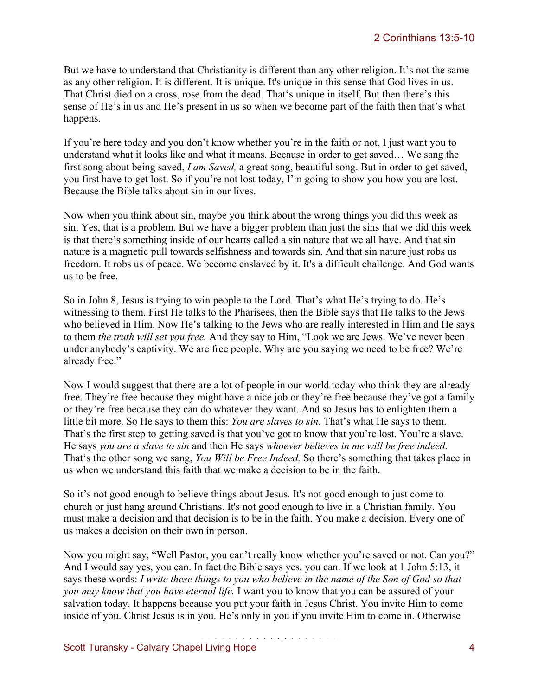But we have to understand that Christianity is different than any other religion. It's not the same as any other religion. It is different. It is unique. It's unique in this sense that God lives in us. That Christ died on a cross, rose from the dead. That's unique in itself. But then there's this sense of He's in us and He's present in us so when we become part of the faith then that's what happens.

If you're here today and you don't know whether you're in the faith or not, I just want you to understand what it looks like and what it means. Because in order to get saved… We sang the first song about being saved, *I am Saved,* a great song, beautiful song. But in order to get saved, you first have to get lost. So if you're not lost today, I'm going to show you how you are lost. Because the Bible talks about sin in our lives.

Now when you think about sin, maybe you think about the wrong things you did this week as sin. Yes, that is a problem. But we have a bigger problem than just the sins that we did this week is that there's something inside of our hearts called a sin nature that we all have. And that sin nature is a magnetic pull towards selfishness and towards sin. And that sin nature just robs us freedom. It robs us of peace. We become enslaved by it. It's a difficult challenge. And God wants us to be free.

So in John 8, Jesus is trying to win people to the Lord. That's what He's trying to do. He's witnessing to them. First He talks to the Pharisees, then the Bible says that He talks to the Jews who believed in Him. Now He's talking to the Jews who are really interested in Him and He says to them *the truth will set you free.* And they say to Him, "Look we are Jews. We've never been under anybody's captivity. We are free people. Why are you saying we need to be free? We're already free."

Now I would suggest that there are a lot of people in our world today who think they are already free. They're free because they might have a nice job or they're free because they've got a family or they're free because they can do whatever they want. And so Jesus has to enlighten them a little bit more. So He says to them this: *You are slaves to sin.* That's what He says to them. That's the first step to getting saved is that you've got to know that you're lost. You're a slave. He says *you are a slave to sin* and then He says *whoever believes in me will be free indeed*. That's the other song we sang, *You Will be Free Indeed.* So there's something that takes place in us when we understand this faith that we make a decision to be in the faith.

So it's not good enough to believe things about Jesus. It's not good enough to just come to church or just hang around Christians. It's not good enough to live in a Christian family. You must make a decision and that decision is to be in the faith. You make a decision. Every one of us makes a decision on their own in person.

Now you might say, "Well Pastor, you can't really know whether you're saved or not. Can you?" And I would say yes, you can. In fact the Bible says yes, you can. If we look at 1 John 5:13, it says these words: *I write these things to you who believe in the name of the Son of God so that you may know that you have eternal life.* I want you to know that you can be assured of your salvation today. It happens because you put your faith in Jesus Christ. You invite Him to come inside of you. Christ Jesus is in you. He's only in you if you invite Him to come in. Otherwise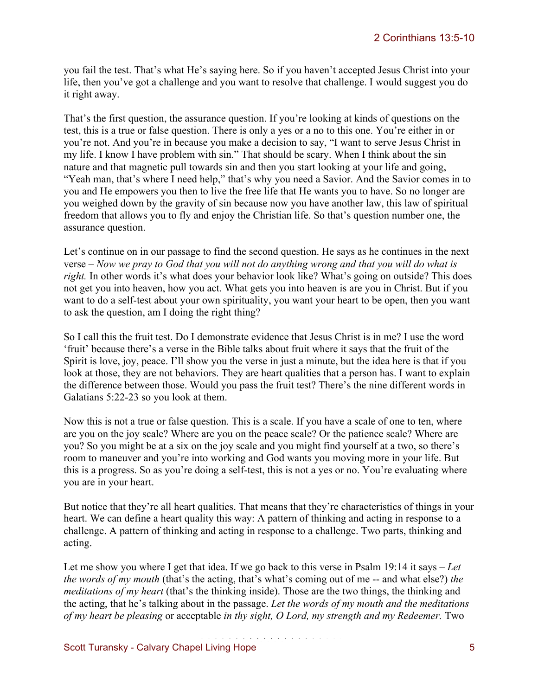you fail the test. That's what He's saying here. So if you haven't accepted Jesus Christ into your life, then you've got a challenge and you want to resolve that challenge. I would suggest you do it right away.

That's the first question, the assurance question. If you're looking at kinds of questions on the test, this is a true or false question. There is only a yes or a no to this one. You're either in or you're not. And you're in because you make a decision to say, "I want to serve Jesus Christ in my life. I know I have problem with sin." That should be scary. When I think about the sin nature and that magnetic pull towards sin and then you start looking at your life and going, "Yeah man, that's where I need help," that's why you need a Savior. And the Savior comes in to you and He empowers you then to live the free life that He wants you to have. So no longer are you weighed down by the gravity of sin because now you have another law, this law of spiritual freedom that allows you to fly and enjoy the Christian life. So that's question number one, the assurance question.

Let's continue on in our passage to find the second question. He says as he continues in the next verse – *Now we pray to God that you will not do anything wrong and that you will do what is right.* In other words it's what does your behavior look like? What's going on outside? This does not get you into heaven, how you act. What gets you into heaven is are you in Christ. But if you want to do a self-test about your own spirituality, you want your heart to be open, then you want to ask the question, am I doing the right thing?

So I call this the fruit test. Do I demonstrate evidence that Jesus Christ is in me? I use the word 'fruit' because there's a verse in the Bible talks about fruit where it says that the fruit of the Spirit is love, joy, peace. I'll show you the verse in just a minute, but the idea here is that if you look at those, they are not behaviors. They are heart qualities that a person has. I want to explain the difference between those. Would you pass the fruit test? There's the nine different words in Galatians 5:22-23 so you look at them.

Now this is not a true or false question. This is a scale. If you have a scale of one to ten, where are you on the joy scale? Where are you on the peace scale? Or the patience scale? Where are you? So you might be at a six on the joy scale and you might find yourself at a two, so there's room to maneuver and you're into working and God wants you moving more in your life. But this is a progress. So as you're doing a self-test, this is not a yes or no. You're evaluating where you are in your heart.

But notice that they're all heart qualities. That means that they're characteristics of things in your heart. We can define a heart quality this way: A pattern of thinking and acting in response to a challenge. A pattern of thinking and acting in response to a challenge. Two parts, thinking and acting.

Let me show you where I get that idea. If we go back to this verse in Psalm 19:14 it says – *Let the words of my mouth* (that's the acting, that's what's coming out of me -- and what else?) *the meditations of my heart* (that's the thinking inside). Those are the two things, the thinking and the acting, that he's talking about in the passage. *Let the words of my mouth and the meditations of my heart be pleasing* or acceptable *in thy sight, O Lord, my strength and my Redeemer.* Two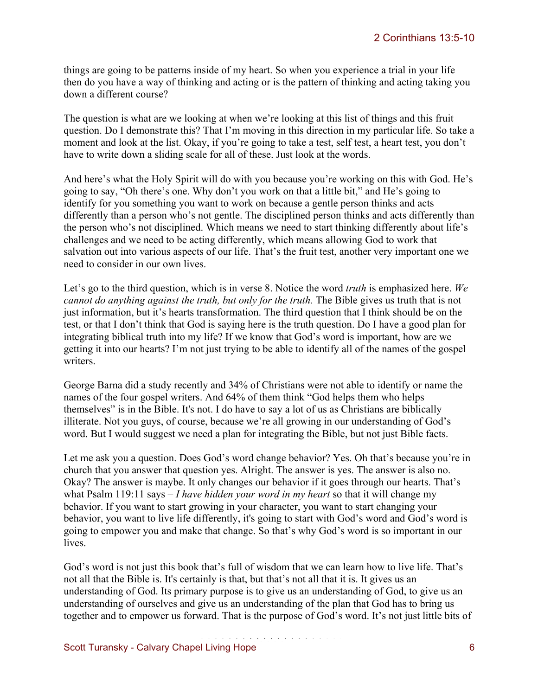things are going to be patterns inside of my heart. So when you experience a trial in your life then do you have a way of thinking and acting or is the pattern of thinking and acting taking you down a different course?

The question is what are we looking at when we're looking at this list of things and this fruit question. Do I demonstrate this? That I'm moving in this direction in my particular life. So take a moment and look at the list. Okay, if you're going to take a test, self test, a heart test, you don't have to write down a sliding scale for all of these. Just look at the words.

And here's what the Holy Spirit will do with you because you're working on this with God. He's going to say, "Oh there's one. Why don't you work on that a little bit," and He's going to identify for you something you want to work on because a gentle person thinks and acts differently than a person who's not gentle. The disciplined person thinks and acts differently than the person who's not disciplined. Which means we need to start thinking differently about life's challenges and we need to be acting differently, which means allowing God to work that salvation out into various aspects of our life. That's the fruit test, another very important one we need to consider in our own lives.

Let's go to the third question, which is in verse 8. Notice the word *truth* is emphasized here. *We cannot do anything against the truth, but only for the truth.* The Bible gives us truth that is not just information, but it's hearts transformation. The third question that I think should be on the test, or that I don't think that God is saying here is the truth question. Do I have a good plan for integrating biblical truth into my life? If we know that God's word is important, how are we getting it into our hearts? I'm not just trying to be able to identify all of the names of the gospel writers.

George Barna did a study recently and 34% of Christians were not able to identify or name the names of the four gospel writers. And 64% of them think "God helps them who helps themselves" is in the Bible. It's not. I do have to say a lot of us as Christians are biblically illiterate. Not you guys, of course, because we're all growing in our understanding of God's word. But I would suggest we need a plan for integrating the Bible, but not just Bible facts.

Let me ask you a question. Does God's word change behavior? Yes. Oh that's because you're in church that you answer that question yes. Alright. The answer is yes. The answer is also no. Okay? The answer is maybe. It only changes our behavior if it goes through our hearts. That's what Psalm 119:11 says – *I have hidden your word in my heart* so that it will change my behavior. If you want to start growing in your character, you want to start changing your behavior, you want to live life differently, it's going to start with God's word and God's word is going to empower you and make that change. So that's why God's word is so important in our lives.

God's word is not just this book that's full of wisdom that we can learn how to live life. That's not all that the Bible is. It's certainly is that, but that's not all that it is. It gives us an understanding of God. Its primary purpose is to give us an understanding of God, to give us an understanding of ourselves and give us an understanding of the plan that God has to bring us together and to empower us forward. That is the purpose of God's word. It's not just little bits of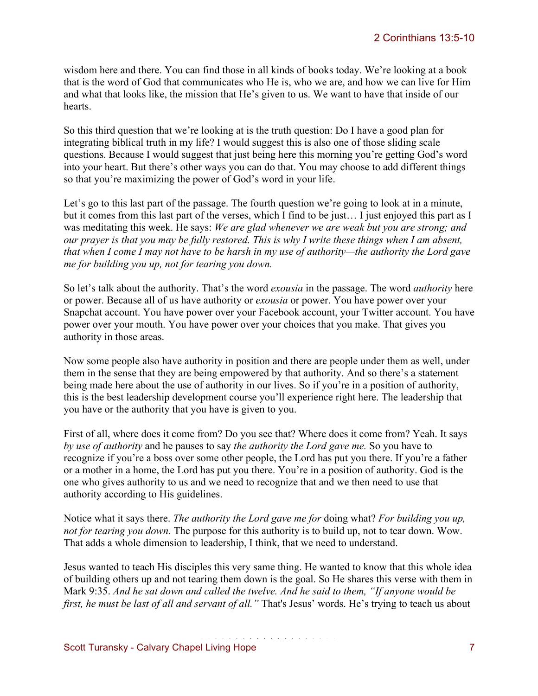wisdom here and there. You can find those in all kinds of books today. We're looking at a book that is the word of God that communicates who He is, who we are, and how we can live for Him and what that looks like, the mission that He's given to us. We want to have that inside of our hearts.

So this third question that we're looking at is the truth question: Do I have a good plan for integrating biblical truth in my life? I would suggest this is also one of those sliding scale questions. Because I would suggest that just being here this morning you're getting God's word into your heart. But there's other ways you can do that. You may choose to add different things so that you're maximizing the power of God's word in your life.

Let's go to this last part of the passage. The fourth question we're going to look at in a minute, but it comes from this last part of the verses, which I find to be just… I just enjoyed this part as I was meditating this week. He says: *We are glad whenever we are weak but you are strong; and our prayer is that you may be fully restored. This is why I write these things when I am absent, that when I come I may not have to be harsh in my use of authority—the authority the Lord gave me for building you up, not for tearing you down.*

So let's talk about the authority. That's the word *exousia* in the passage. The word *authority* here or power. Because all of us have authority or *exousia* or power. You have power over your Snapchat account. You have power over your Facebook account, your Twitter account. You have power over your mouth. You have power over your choices that you make. That gives you authority in those areas.

Now some people also have authority in position and there are people under them as well, under them in the sense that they are being empowered by that authority. And so there's a statement being made here about the use of authority in our lives. So if you're in a position of authority, this is the best leadership development course you'll experience right here. The leadership that you have or the authority that you have is given to you.

First of all, where does it come from? Do you see that? Where does it come from? Yeah. It says *by use of authority* and he pauses to say *the authority the Lord gave me.* So you have to recognize if you're a boss over some other people, the Lord has put you there. If you're a father or a mother in a home, the Lord has put you there. You're in a position of authority. God is the one who gives authority to us and we need to recognize that and we then need to use that authority according to His guidelines.

Notice what it says there. *The authority the Lord gave me for* doing what? *For building you up, not for tearing you down.* The purpose for this authority is to build up, not to tear down. Wow. That adds a whole dimension to leadership, I think, that we need to understand.

Jesus wanted to teach His disciples this very same thing. He wanted to know that this whole idea of building others up and not tearing them down is the goal. So He shares this verse with them in Mark 9:35. *And he sat down and called the twelve. And he said to them, "If anyone would be first, he must be last of all and servant of all."* That's Jesus' words. He's trying to teach us about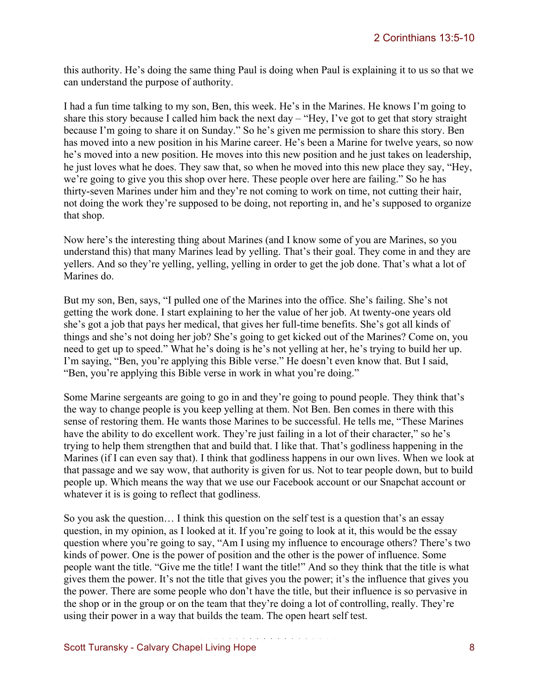this authority. He's doing the same thing Paul is doing when Paul is explaining it to us so that we can understand the purpose of authority.

I had a fun time talking to my son, Ben, this week. He's in the Marines. He knows I'm going to share this story because I called him back the next day – "Hey, I've got to get that story straight because I'm going to share it on Sunday." So he's given me permission to share this story. Ben has moved into a new position in his Marine career. He's been a Marine for twelve years, so now he's moved into a new position. He moves into this new position and he just takes on leadership, he just loves what he does. They saw that, so when he moved into this new place they say, "Hey, we're going to give you this shop over here. These people over here are failing." So he has thirty-seven Marines under him and they're not coming to work on time, not cutting their hair, not doing the work they're supposed to be doing, not reporting in, and he's supposed to organize that shop.

Now here's the interesting thing about Marines (and I know some of you are Marines, so you understand this) that many Marines lead by yelling. That's their goal. They come in and they are yellers. And so they're yelling, yelling, yelling in order to get the job done. That's what a lot of Marines do.

But my son, Ben, says, "I pulled one of the Marines into the office. She's failing. She's not getting the work done. I start explaining to her the value of her job. At twenty-one years old she's got a job that pays her medical, that gives her full-time benefits. She's got all kinds of things and she's not doing her job? She's going to get kicked out of the Marines? Come on, you need to get up to speed." What he's doing is he's not yelling at her, he's trying to build her up. I'm saying, "Ben, you're applying this Bible verse." He doesn't even know that. But I said, "Ben, you're applying this Bible verse in work in what you're doing."

Some Marine sergeants are going to go in and they're going to pound people. They think that's the way to change people is you keep yelling at them. Not Ben. Ben comes in there with this sense of restoring them. He wants those Marines to be successful. He tells me, "These Marines have the ability to do excellent work. They're just failing in a lot of their character," so he's trying to help them strengthen that and build that. I like that. That's godliness happening in the Marines (if I can even say that). I think that godliness happens in our own lives. When we look at that passage and we say wow, that authority is given for us. Not to tear people down, but to build people up. Which means the way that we use our Facebook account or our Snapchat account or whatever it is is going to reflect that godliness.

So you ask the question… I think this question on the self test is a question that's an essay question, in my opinion, as I looked at it. If you're going to look at it, this would be the essay question where you're going to say, "Am I using my influence to encourage others? There's two kinds of power. One is the power of position and the other is the power of influence. Some people want the title. "Give me the title! I want the title!" And so they think that the title is what gives them the power. It's not the title that gives you the power; it's the influence that gives you the power. There are some people who don't have the title, but their influence is so pervasive in the shop or in the group or on the team that they're doing a lot of controlling, really. They're using their power in a way that builds the team. The open heart self test.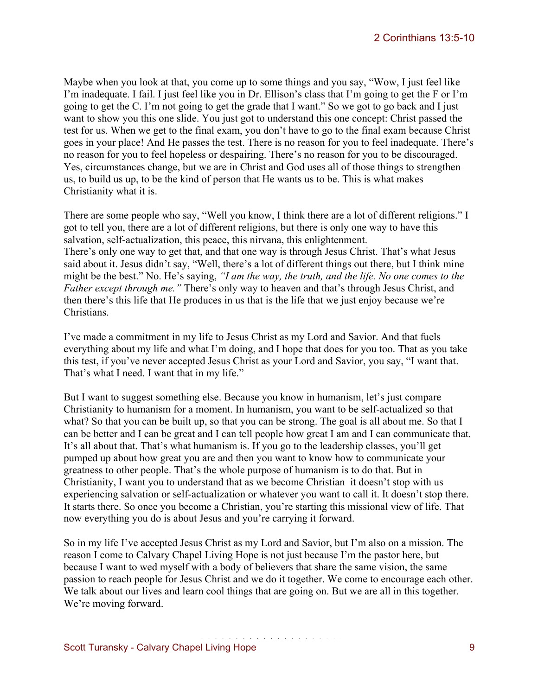Maybe when you look at that, you come up to some things and you say, "Wow, I just feel like I'm inadequate. I fail. I just feel like you in Dr. Ellison's class that I'm going to get the F or I'm going to get the C. I'm not going to get the grade that I want." So we got to go back and I just want to show you this one slide. You just got to understand this one concept: Christ passed the test for us. When we get to the final exam, you don't have to go to the final exam because Christ goes in your place! And He passes the test. There is no reason for you to feel inadequate. There's no reason for you to feel hopeless or despairing. There's no reason for you to be discouraged. Yes, circumstances change, but we are in Christ and God uses all of those things to strengthen us, to build us up, to be the kind of person that He wants us to be. This is what makes Christianity what it is.

There are some people who say, "Well you know, I think there are a lot of different religions." I got to tell you, there are a lot of different religions, but there is only one way to have this salvation, self-actualization, this peace, this nirvana, this enlightenment. There's only one way to get that, and that one way is through Jesus Christ. That's what Jesus said about it. Jesus didn't say, "Well, there's a lot of different things out there, but I think mine might be the best." No. He's saying, *"I am the way, the truth, and the life. No one comes to the Father except through me."* There's only way to heaven and that's through Jesus Christ, and then there's this life that He produces in us that is the life that we just enjoy because we're Christians.

I've made a commitment in my life to Jesus Christ as my Lord and Savior. And that fuels everything about my life and what I'm doing, and I hope that does for you too. That as you take this test, if you've never accepted Jesus Christ as your Lord and Savior, you say, "I want that. That's what I need. I want that in my life."

But I want to suggest something else. Because you know in humanism, let's just compare Christianity to humanism for a moment. In humanism, you want to be self-actualized so that what? So that you can be built up, so that you can be strong. The goal is all about me. So that I can be better and I can be great and I can tell people how great I am and I can communicate that. It's all about that. That's what humanism is. If you go to the leadership classes, you'll get pumped up about how great you are and then you want to know how to communicate your greatness to other people. That's the whole purpose of humanism is to do that. But in Christianity, I want you to understand that as we become Christian it doesn't stop with us experiencing salvation or self-actualization or whatever you want to call it. It doesn't stop there. It starts there. So once you become a Christian, you're starting this missional view of life. That now everything you do is about Jesus and you're carrying it forward.

So in my life I've accepted Jesus Christ as my Lord and Savior, but I'm also on a mission. The reason I come to Calvary Chapel Living Hope is not just because I'm the pastor here, but because I want to wed myself with a body of believers that share the same vision, the same passion to reach people for Jesus Christ and we do it together. We come to encourage each other. We talk about our lives and learn cool things that are going on. But we are all in this together. We're moving forward.